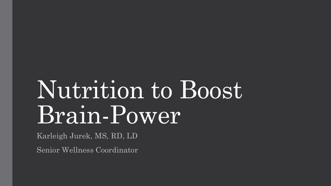# Nutrition to Boost Brain-Power

Karleigh Jurek, MS, RD, LD

Senior Wellness Coordinator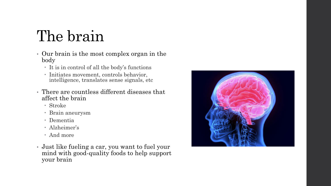### The brain

- Our brain is the most complex organ in the body
	- It is in control of all the body's functions
	- Initiates movement, controls behavior, intelligence, translates sense signals, etc
- There are countless different diseases that affect the brain
	- Stroke
	- Brain aneurysm
	- Dementia
	- Alzheimer's
	- And more
- Just like fueling a car, you want to fuel your mind with good-quality foods to help support your brain

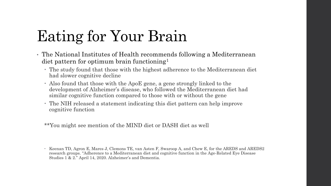### Eating for Your Brain

- The National Institutes of Health recommends following a Mediterranean diet pattern for optimum brain functioning<sup>1</sup>
	- The study found that those with the highest adherence to the Mediterranean diet had slower cognitive decline
	- Also found that those with the ApoE gene, a gene strongly linked to the development of Alzheimer's disease, who followed the Mediterranean diet had similar cognitive function compared to those with or without the gene
	- The NIH released a statement indicating this diet pattern can help improve cognitive function

\*\*You might see mention of the MIND diet or DASH diet as well

Keenan TD, Agron E, Mares J, Clemons TE, van Asten F, Swaroop A, and Chew E, for the AREDS and AREDS2 research groups. "Adherence to a Mediterranean diet and cognitive function in the Age-Related Eye Disease Studies 1 & 2." April 14, 2020. Alzheimer's and Dementia.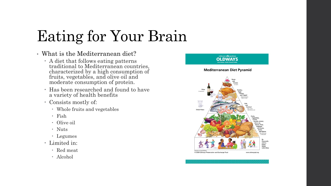### Eating for Your Brain

- What is the Mediterranean diet?
	- A diet that follows eating patterns traditional to Mediterranean countries, characterized by a high consumption of fruits, vegetables, and olive oil and moderate consumption of protein.
	- Has been researched and found to have a variety of health benefits
	- Consists mostly of:
		- Whole fruits and vegetables
		- Fish
		- Olive oil
		- Nuts
		- Legumes
	- Limited in:
		- Red meat
		- Alcohol

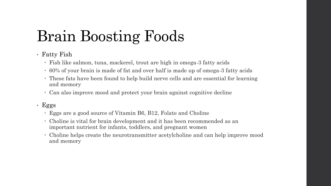### • Fatty Fish

- Fish like salmon, tuna, mackerel, trout are high in omega-3 fatty acids
- 60% of your brain is made of fat and over half is made up of omega-3 fatty acids
- These fats have been found to help build nerve cells and are essential for learning and memory
- Can also improve mood and protect your brain against cognitive decline

### • Eggs

- Eggs are a good source of Vitamin B6, B12, Folate and Choline
- Choline is vital for brain development and it has been recommended as an important nutrient for infants, toddlers, and pregnant women
- Choline helps create the neurotransmitter acetylcholine and can help improve mood and memory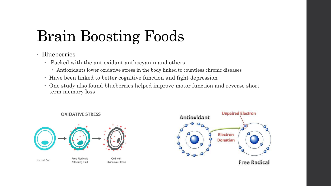#### • Blueberries

- Packed with the antioxidant anthocyanin and others
	- Antioxidants lower oxidative stress in the body linked to countless chronic diseases
- Have been linked to better cognitive function and fight depression
- One study also found blueberries helped improve motor function and reverse short term memory loss

#### **OXIDATIVE STRESS**



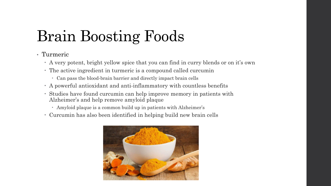- Turmeric
	- A very potent, bright yellow spice that you can find in curry blends or on it's own
	- The active ingredient in turmeric is a compound called curcumin
		- Can pass the blood-brain barrier and directly impact brain cells
	- A powerful antioxidant and anti-inflammatory with countless benefits
	- Studies have found curcumin can help improve memory in patients with Alzheimer's and help remove amyloid plaque
		- Amyloid plaque is a common build up in patients with Alzheimer's
	- Curcumin has also been identified in helping build new brain cells

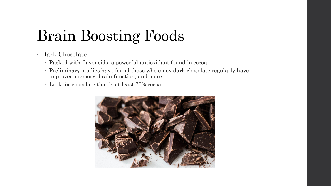#### • Dark Chocolate

- Packed with flavonoids, a powerful antioxidant found in cocoa
- Preliminary studies have found those who enjoy dark chocolate regularly have improved memory, brain function, and more
- Look for chocolate that is at least 70% cocoa

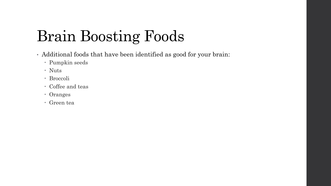- Additional foods that have been identified as good for your brain:
	- Pumpkin seeds
	- Nuts
	- Broccoli
	- Coffee and teas
	- Oranges
	- Green tea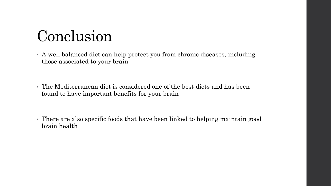### Conclusion

- A well balanced diet can help protect you from chronic diseases, including those associated to your brain
- The Mediterranean diet is considered one of the best diets and has been found to have important benefits for your brain
- There are also specific foods that have been linked to helping maintain good brain health